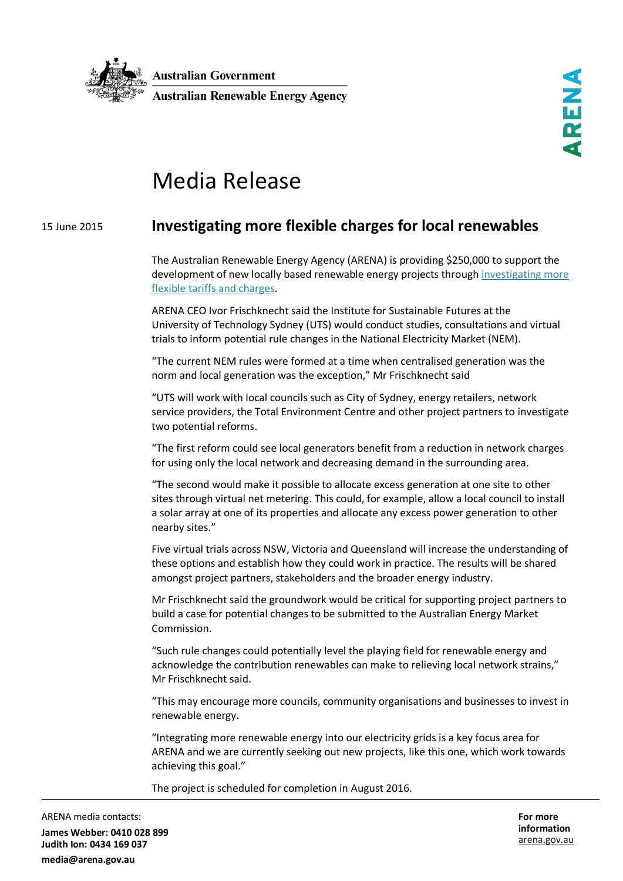

## Media Release

## 15 June 2015 **Investigating more flexible charges for local renewables**

The Australian Renewable Energy Agency (ARENA) is providing \$250,000 to support the development of new locally based renewable energy projects through [investigating](http://arena.gov.au/project/investigating-local-network-charges-and-virtual-net-metering/) more flexible [tariffs and charges](http://arena.gov.au/project/investigating-local-network-charges-and-virtual-net-metering/).

ARENA CEO Ivor Frischknecht said the Institute for Sustainable Futures at the University of Technology Sydney (UTS) would conduct studies, consultations and virtual trials to inform potential rule changes in the National Electricity Market (NEM).

"The current NEM rules were formed at a time when centralised generation was the norm and local generation was the exception," Mr Frischknecht said

"UTS will work with local councils such as City of Sydney, energy retailers, network service providers, the Total Environment Centre and other project partners to investigate two potential reforms.

"The first reform could see local generators benefit from a reduction in network charges for using only the local network and decreasing demand in the surrounding area.

"The second would make it possible to allocate excess generation at one site to other sites through virtual net metering. This could, for example, allow a local council to install a solar array at one of its properties and allocate any excess power generation to other nearby sites."

Five virtual trials across NSW, Victoria and Queensland will increase the understanding of these options and establish how they could work in practice. The results will be shared amongst project partners, stakeholders and the broader energy industry.

Mr Frischknecht said the groundwork would be critical for supporting project partners to build a case for potential changes to be submitted to the Australian Energy Market Commission.

"Such rule changes could potentially level the playing field for renewable energy and acknowledge the contribution renewables can make to relieving local network strains," Mr Frischknecht said.

"This may encourage more councils, community organisations and businesses to invest in renewable energy.

"Integrating more renewable energy into our electricity grids is a key focus area for ARENA and we are currently seeking out new projects, like this one, which work towards achieving this goal."

The project is scheduled for completion in August 2016.